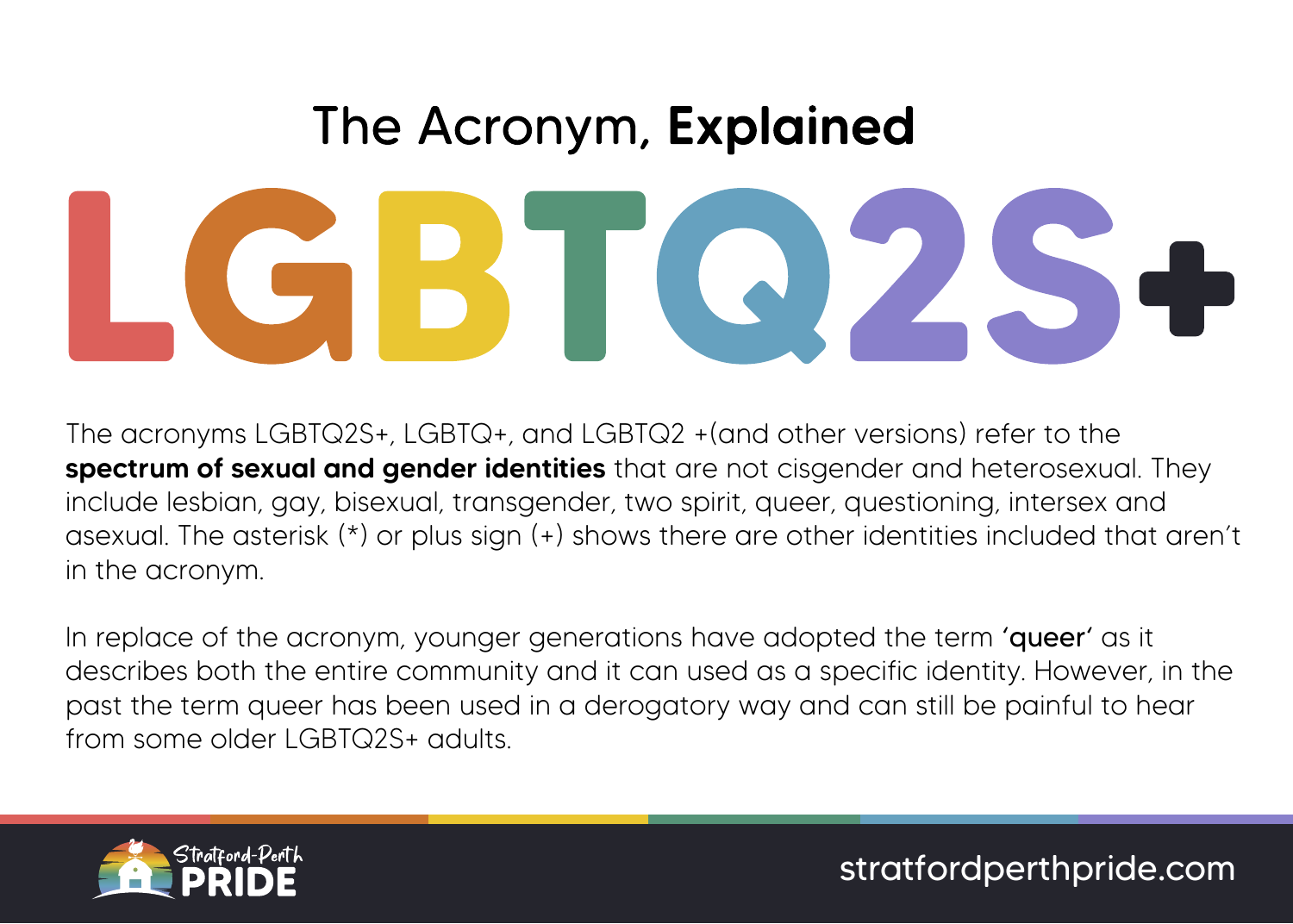# The Acronym, Explained

The acronyms LGBTQ2S+, LGBTQ+, and LGBTQ2 +(and other versions) refer to the spectrum of sexual and gender identities that are not cisgender and heterosexual. They include lesbian, gay, bisexual, transgender, two spirit, queer, questioning, intersex and asexual. The asterisk (\*) or plus sign (+) shows there are other identities included that aren't in the acronym.

In replace of the acronym, younger generations have adopted the term 'queer' as it describes both the entire community and it can used as a specific identity. However, in the past the term queer has been used in a derogatory way and can still be painful to hear from some older LGBTQ2S+ adults.



stratfordperthpride.com